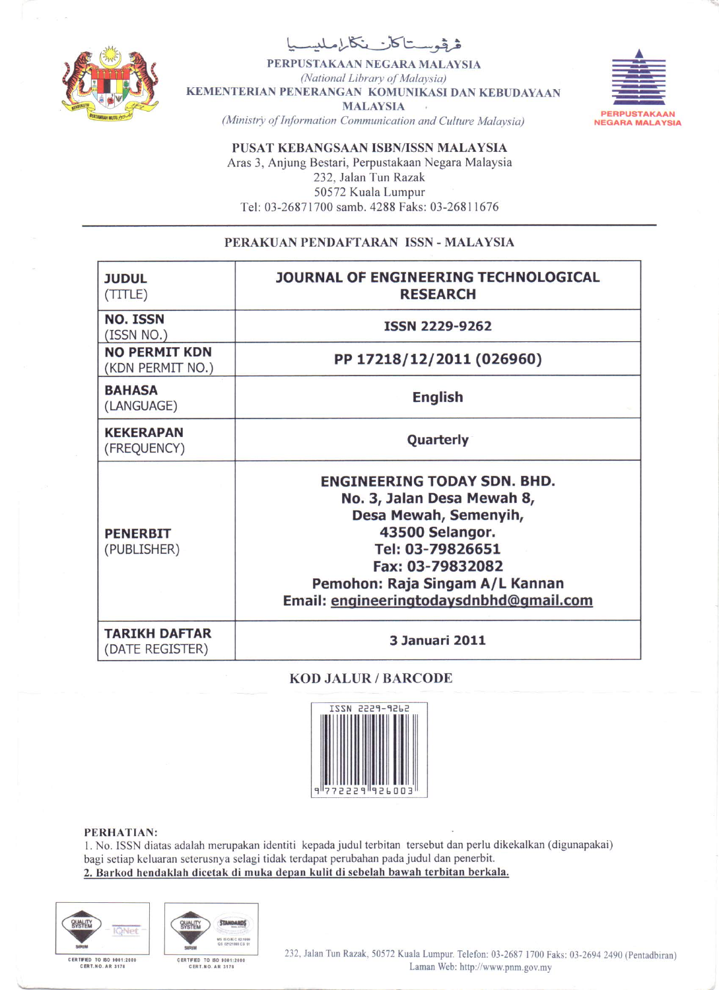

فرفوستاكان ينكاره

PERPUSTAKAAN NEGARA MALAYSIA (National Library of Malaysia) KEMENTERIAN PENERANGAN KOMUNIKASI DAN KEBUDAYAAN **MALAYSIA** (Ministry of Information Communication and Culture Malaysia)



PUSAT KEBANGSAAN ISBN/ISSN MALAYSIA Aras 3, Anjung Bestari, Perpustakaan Negara Malaysia 232, Jalan Tun Razak 50572 Kuala Lumpur Tel: 03-26871700 samb. 4288 Faks: 03-26811676

## PERAKUAN PENDAFTARAN ISSN - MALAYSIA

| <b>JUDUL</b><br>(TITLE)                  | JOURNAL OF ENGINEERING TECHNOLOGICAL<br><b>RESEARCH</b>                                                                                                                                                                            |
|------------------------------------------|------------------------------------------------------------------------------------------------------------------------------------------------------------------------------------------------------------------------------------|
| <b>NO. ISSN</b><br>(ISSN NO.)            | ISSN 2229-9262                                                                                                                                                                                                                     |
| <b>NO PERMIT KDN</b><br>(KDN PERMIT NO.) | PP 17218/12/2011 (026960)                                                                                                                                                                                                          |
| <b>BAHASA</b><br>(LANGUAGE)              | <b>English</b>                                                                                                                                                                                                                     |
| <b>KEKERAPAN</b><br>(FREQUENCY)          | Quarterly                                                                                                                                                                                                                          |
| <b>PENERBIT</b><br>(PUBLISHER)           | <b>ENGINEERING TODAY SDN. BHD.</b><br>No. 3, Jalan Desa Mewah 8,<br>Desa Mewah, Semenyih,<br>43500 Selangor.<br>Tel: 03-79826651<br>Fax: 03-79832082<br>Pemohon: Raja Singam A/L Kannan<br>Email: engineeringtodaysdnbhd@gmail.com |
| <b>TARIKH DAFTAR</b><br>(DATE REGISTER)  | <b>3 Januari 2011</b>                                                                                                                                                                                                              |

## **KOD JALUR / BARCODE**



## PERHATIAN:

1. No. ISSN diatas adalah merupakan identiti kepada judul terbitan tersebut dan perlu dikekalkan (digunapakai) bagi setiap keluaran seterusnya selagi tidak terdapat perubahan pada judul dan penerbit. 2. Barkod hendaklah dicetak di muka depan kulit di sebelah bawah terbitan berkala.





CERTIFIED TO ISO 9001:2000<br>CERT.NO. AR 3178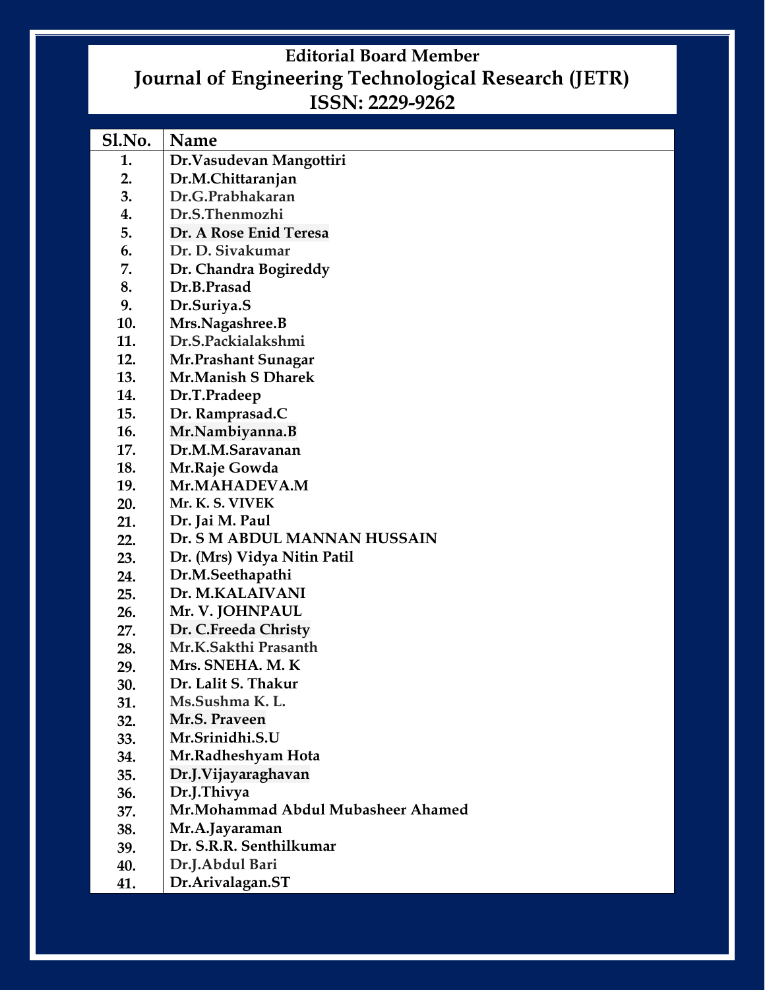## **Editorial Board Member Journal of Engineering Technological Research (JETR) ISSN: 2229-9262**

| Sl.No. | Name                                |
|--------|-------------------------------------|
| 1.     | Dr. Vasudevan Mangottiri            |
| 2.     | Dr.M.Chittaranjan                   |
| 3.     | Dr.G.Prabhakaran                    |
| 4.     | Dr.S.Thenmozhi                      |
| 5.     | Dr. A Rose Enid Teresa              |
| 6.     | Dr. D. Sivakumar                    |
| 7.     | Dr. Chandra Bogireddy               |
| 8.     | Dr.B.Prasad                         |
| 9.     | Dr.Suriya.S                         |
| 10.    | Mrs.Nagashree.B                     |
| 11.    | Dr.S.Packialakshmi                  |
| 12.    | Mr.Prashant Sunagar                 |
| 13.    | Mr.Manish S Dharek                  |
| 14.    | Dr.T.Pradeep                        |
| 15.    | Dr. Ramprasad.C                     |
| 16.    | Mr.Nambiyanna.B                     |
| 17.    | Dr.M.M.Saravanan                    |
| 18.    | Mr.Raje Gowda                       |
| 19.    | Mr.MAHADEVA.M                       |
| 20.    | Mr. K. S. VIVEK                     |
| 21.    | Dr. Jai M. Paul                     |
| 22.    | Dr. S M ABDUL MANNAN HUSSAIN        |
| 23.    | Dr. (Mrs) Vidya Nitin Patil         |
| 24.    | Dr.M.Seethapathi                    |
| 25.    | Dr. M.KALAIVANI                     |
| 26.    | Mr. V. JOHNPAUL                     |
| 27.    | Dr. C.Freeda Christy                |
| 28.    | Mr.K.Sakthi Prasanth                |
| 29.    | Mrs. SNEHA. M. K                    |
| 30.    | Dr. Lalit S. Thakur                 |
| 31.    | Ms.Sushma K.L.                      |
| 32.    | Mr.S. Praveen                       |
| 33.    | Mr.Srinidhi.S.U                     |
| 34.    | Mr.Radheshyam Hota                  |
| 35.    | Dr.J. Vijayaraghavan                |
| 36.    | Dr.J.Thivya                         |
| 37.    | Mr. Mohammad Abdul Mubasheer Ahamed |
| 38.    | Mr.A.Jayaraman                      |
| 39.    | Dr. S.R.R. Senthilkumar             |
| 40.    | Dr.J.Abdul Bari                     |
| 41.    | Dr.Arivalagan.ST                    |